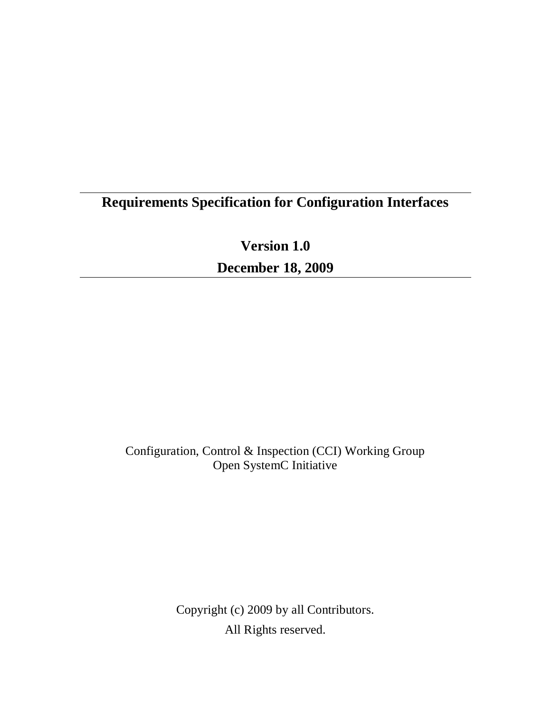# **Requirements Specification for Configuration Interfaces**

**Version 1.0**

**December 18, 2009**

Configuration, Control & Inspection (CCI) Working Group Open SystemC Initiative

> Copyright (c) 2009 by all Contributors. All Rights reserved.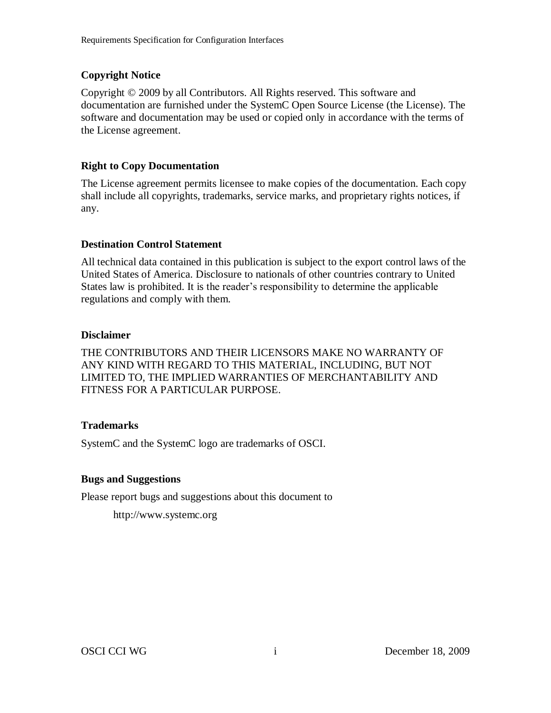#### **Copyright Notice**

Copyright © 2009 by all Contributors. All Rights reserved. This software and documentation are furnished under the SystemC Open Source License (the License). The software and documentation may be used or copied only in accordance with the terms of the License agreement.

#### **Right to Copy Documentation**

The License agreement permits licensee to make copies of the documentation. Each copy shall include all copyrights, trademarks, service marks, and proprietary rights notices, if any.

#### **Destination Control Statement**

All technical data contained in this publication is subject to the export control laws of the United States of America. Disclosure to nationals of other countries contrary to United States law is prohibited. It is the reader's responsibility to determine the applicable regulations and comply with them.

#### **Disclaimer**

THE CONTRIBUTORS AND THEIR LICENSORS MAKE NO WARRANTY OF ANY KIND WITH REGARD TO THIS MATERIAL, INCLUDING, BUT NOT LIMITED TO, THE IMPLIED WARRANTIES OF MERCHANTABILITY AND FITNESS FOR A PARTICULAR PURPOSE.

#### **Trademarks**

SystemC and the SystemC logo are trademarks of OSCI.

#### **Bugs and Suggestions**

Please report bugs and suggestions about this document to

http://www.systemc.org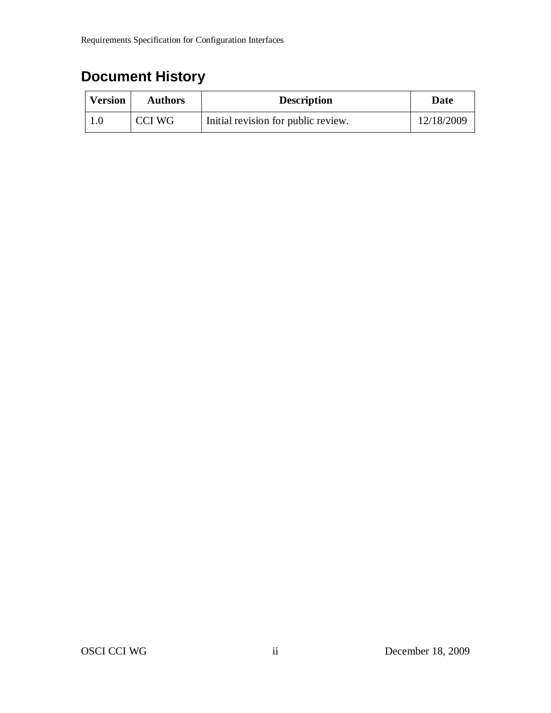# **Document History**

| <b>Version</b> | <b>Authors</b> | <b>Description</b>                  | Date       |
|----------------|----------------|-------------------------------------|------------|
|                | CCI WG         | Initial revision for public review. | 12/18/2009 |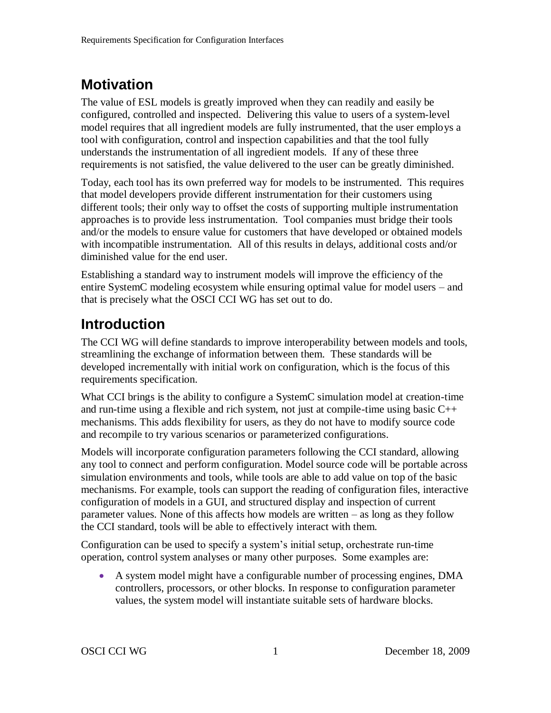## **Motivation**

The value of ESL models is greatly improved when they can readily and easily be configured, controlled and inspected. Delivering this value to users of a system-level model requires that all ingredient models are fully instrumented, that the user employs a tool with configuration, control and inspection capabilities and that the tool fully understands the instrumentation of all ingredient models. If any of these three requirements is not satisfied, the value delivered to the user can be greatly diminished.

Today, each tool has its own preferred way for models to be instrumented. This requires that model developers provide different instrumentation for their customers using different tools; their only way to offset the costs of supporting multiple instrumentation approaches is to provide less instrumentation. Tool companies must bridge their tools and/or the models to ensure value for customers that have developed or obtained models with incompatible instrumentation. All of this results in delays, additional costs and/or diminished value for the end user.

Establishing a standard way to instrument models will improve the efficiency of the entire SystemC modeling ecosystem while ensuring optimal value for model users – and that is precisely what the OSCI CCI WG has set out to do.

# **Introduction**

The CCI WG will define standards to improve interoperability between models and tools, streamlining the exchange of information between them. These standards will be developed incrementally with initial work on configuration, which is the focus of this requirements specification.

What CCI brings is the ability to configure a SystemC simulation model at creation-time and run-time using a flexible and rich system, not just at compile-time using basic C++ mechanisms. This adds flexibility for users, as they do not have to modify source code and recompile to try various scenarios or parameterized configurations.

Models will incorporate configuration parameters following the CCI standard, allowing any tool to connect and perform configuration. Model source code will be portable across simulation environments and tools, while tools are able to add value on top of the basic mechanisms. For example, tools can support the reading of configuration files, interactive configuration of models in a GUI, and structured display and inspection of current parameter values. None of this affects how models are written – as long as they follow the CCI standard, tools will be able to effectively interact with them.

Configuration can be used to specify a system's initial setup, orchestrate run-time operation, control system analyses or many other purposes. Some examples are:

 A system model might have a configurable number of processing engines, DMA controllers, processors, or other blocks. In response to configuration parameter values, the system model will instantiate suitable sets of hardware blocks.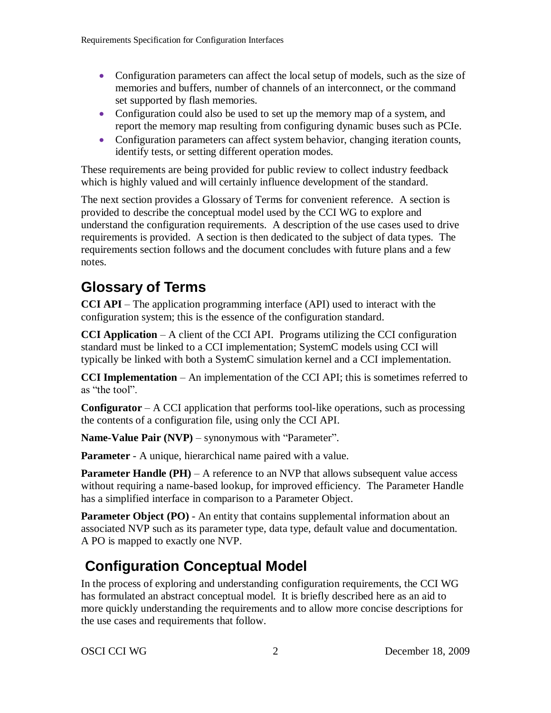- Configuration parameters can affect the local setup of models, such as the size of memories and buffers, number of channels of an interconnect, or the command set supported by flash memories.
- Configuration could also be used to set up the memory map of a system, and report the memory map resulting from configuring dynamic buses such as PCIe.
- Configuration parameters can affect system behavior, changing iteration counts, identify tests, or setting different operation modes.

These requirements are being provided for public review to collect industry feedback which is highly valued and will certainly influence development of the standard.

The next section provides a [Glossary of Terms](#page-4-0) for convenient reference. A section is provided to describe the conceptual model used by the CCI WG to explore and understand the configuration requirements. A description of the use cases used to drive requirements is provided. A section is then dedicated to the subject of data types. The requirements section follows and the document concludes with future plans and a few notes.

## <span id="page-4-0"></span>**Glossary of Terms**

**CCI API** – The application programming interface (API) used to interact with the configuration system; this is the essence of the configuration standard.

**CCI Application** – A client of the CCI API. Programs utilizing the CCI configuration standard must be linked to a CCI implementation; SystemC models using CCI will typically be linked with both a SystemC simulation kernel and a CCI implementation.

**CCI Implementation** – An implementation of the CCI API; this is sometimes referred to as "the tool".

**Configurator** – A CCI application that performs tool-like operations, such as processing the contents of a configuration file, using only the CCI API.

**Name-Value Pair (NVP)** – synonymous with "Parameter".

**Parameter** - A unique, hierarchical name paired with a value.

**Parameter Handle** (PH) – A reference to an NVP that allows subsequent value access without requiring a name-based lookup, for improved efficiency. The Parameter Handle has a simplified interface in comparison to a Parameter Object.

**Parameter Object (PO)** - An entity that contains supplemental information about an associated NVP such as its parameter type, data type, default value and documentation. A PO is mapped to exactly one NVP.

# **Configuration Conceptual Model**

In the process of exploring and understanding configuration requirements, the CCI WG has formulated an abstract conceptual model. It is briefly described here as an aid to more quickly understanding the requirements and to allow more concise descriptions for the use cases and requirements that follow.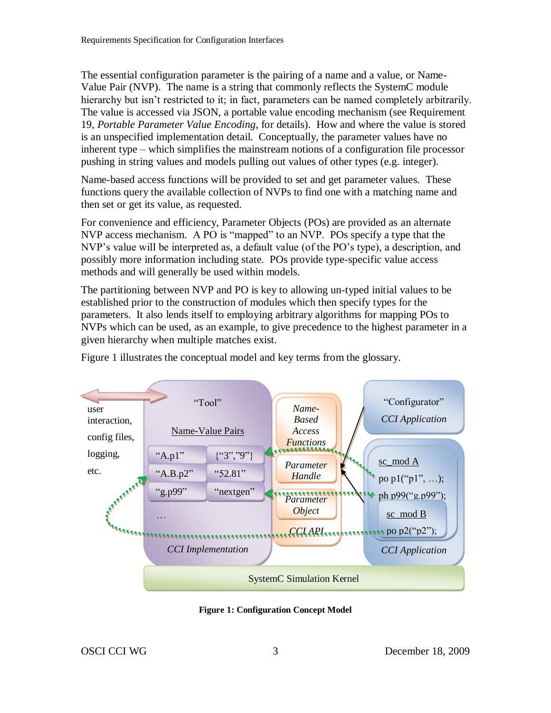The essential configuration parameter is the pairing of a name and a value, or Name-Value Pair (NVP). The name is a string that commonly reflects the SystemC module hierarchy but isn't restricted to it; in fact, parameters can be named completely arbitrarily. The value is accessed via JSON, a portable value encoding mechanism (see Requirement [19,](#page-13-0) *[Portable Parameter Value Encoding](#page-13-0)*, for details). How and where the value is stored is an unspecified implementation detail. Conceptually, the parameter values have no inherent type – which simplifies the mainstream notions of a configuration file processor pushing in string values and models pulling out values of other types (e.g. integer).

Name-based access functions will be provided to set and get parameter values. These functions query the available collection of NVPs to find one with a matching name and then set or get its value, as requested.

For convenience and efficiency, Parameter Objects (POs) are provided as an alternate NVP access mechanism. A PO is "mapped" to an NVP. POs specify a type that the NVP's value will be interpreted as, a default value (of the PO's type), a description, and possibly more information including state. POs provide type-specific value access methods and will generally be used within models.

The partitioning between NVP and PO is key to allowing un-typed initial values to be established prior to the construction of modules which then specify types for the parameters. It also lends itself to employing arbitrary algorithms for mapping POs to NVPs which can be used, as an example, to give precedence to the highest parameter in a given hierarchy when multiple matches exist.



[Figure 1](#page-5-0) illustrates the conceptual model and key terms from the glossary.

<span id="page-5-0"></span>**Figure 1: Configuration Concept Model**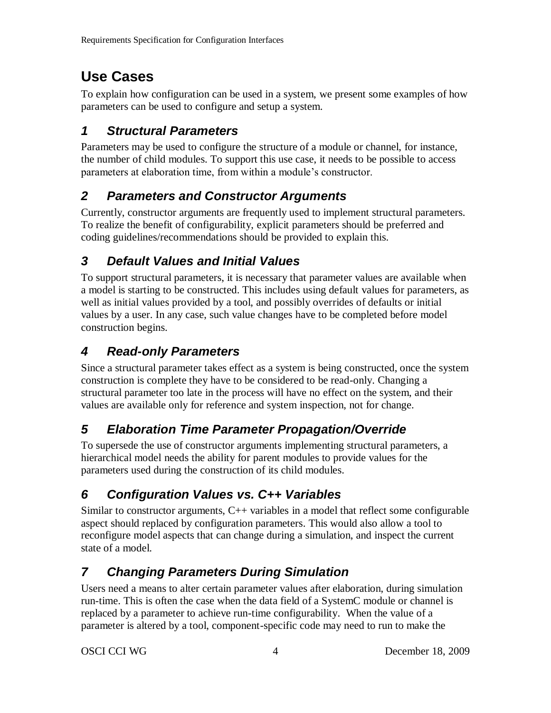# **Use Cases**

To explain how configuration can be used in a system, we present some examples of how parameters can be used to configure and setup a system.

### *1 Structural Parameters*

Parameters may be used to configure the structure of a module or channel, for instance, the number of child modules. To support this use case, it needs to be possible to access parameters at elaboration time, from within a module's constructor.

### *2 Parameters and Constructor Arguments*

Currently, constructor arguments are frequently used to implement structural parameters. To realize the benefit of configurability, explicit parameters should be preferred and coding guidelines/recommendations should be provided to explain this.

### *3 Default Values and Initial Values*

To support structural parameters, it is necessary that parameter values are available when a model is starting to be constructed. This includes using default values for parameters, as well as initial values provided by a tool, and possibly overrides of defaults or initial values by a user. In any case, such value changes have to be completed before model construction begins.

### *4 Read-only Parameters*

Since a structural parameter takes effect as a system is being constructed, once the system construction is complete they have to be considered to be read-only. Changing a structural parameter too late in the process will have no effect on the system, and their values are available only for reference and system inspection, not for change.

### *5 Elaboration Time Parameter Propagation/Override*

To supersede the use of constructor arguments implementing structural parameters, a hierarchical model needs the ability for parent modules to provide values for the parameters used during the construction of its child modules.

## *6 Configuration Values vs. C++ Variables*

Similar to constructor arguments,  $C++$  variables in a model that reflect some configurable aspect should replaced by configuration parameters. This would also allow a tool to reconfigure model aspects that can change during a simulation, and inspect the current state of a model.

## *7 Changing Parameters During Simulation*

Users need a means to alter certain parameter values after elaboration, during simulation run-time. This is often the case when the data field of a SystemC module or channel is replaced by a parameter to achieve run-time configurability. When the value of a parameter is altered by a tool, component-specific code may need to run to make the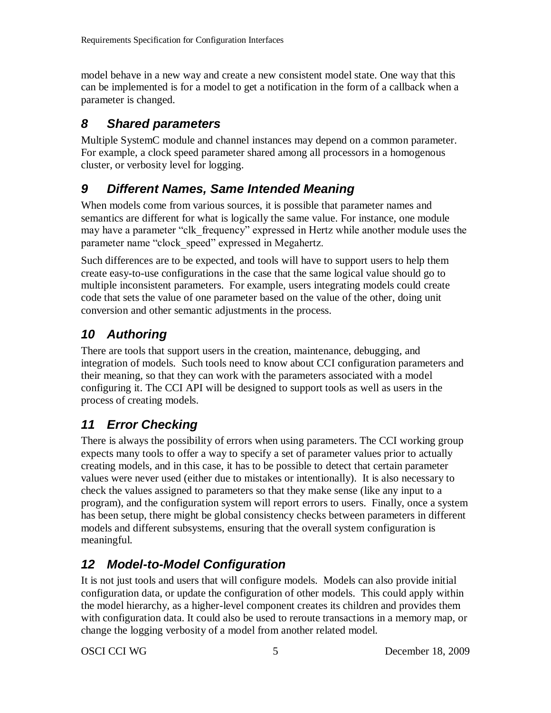model behave in a new way and create a new consistent model state. One way that this can be implemented is for a model to get a notification in the form of a callback when a parameter is changed.

#### *8 Shared parameters*

Multiple SystemC module and channel instances may depend on a common parameter. For example, a clock speed parameter shared among all processors in a homogenous cluster, or verbosity level for logging.

### *9 Different Names, Same Intended Meaning*

When models come from various sources, it is possible that parameter names and semantics are different for what is logically the same value. For instance, one module may have a parameter "clk frequency" expressed in Hertz while another module uses the parameter name "clock\_speed" expressed in Megahertz.

Such differences are to be expected, and tools will have to support users to help them create easy-to-use configurations in the case that the same logical value should go to multiple inconsistent parameters. For example, users integrating models could create code that sets the value of one parameter based on the value of the other, doing unit conversion and other semantic adjustments in the process.

### *10 Authoring*

There are tools that support users in the creation, maintenance, debugging, and integration of models. Such tools need to know about CCI configuration parameters and their meaning, so that they can work with the parameters associated with a model configuring it. The CCI API will be designed to support tools as well as users in the process of creating models.

## *11 Error Checking*

There is always the possibility of errors when using parameters. The CCI working group expects many tools to offer a way to specify a set of parameter values prior to actually creating models, and in this case, it has to be possible to detect that certain parameter values were never used (either due to mistakes or intentionally). It is also necessary to check the values assigned to parameters so that they make sense (like any input to a program), and the configuration system will report errors to users. Finally, once a system has been setup, there might be global consistency checks between parameters in different models and different subsystems, ensuring that the overall system configuration is meaningful.

## *12 Model-to-Model Configuration*

It is not just tools and users that will configure models. Models can also provide initial configuration data, or update the configuration of other models. This could apply within the model hierarchy, as a higher-level component creates its children and provides them with configuration data. It could also be used to reroute transactions in a memory map, or change the logging verbosity of a model from another related model.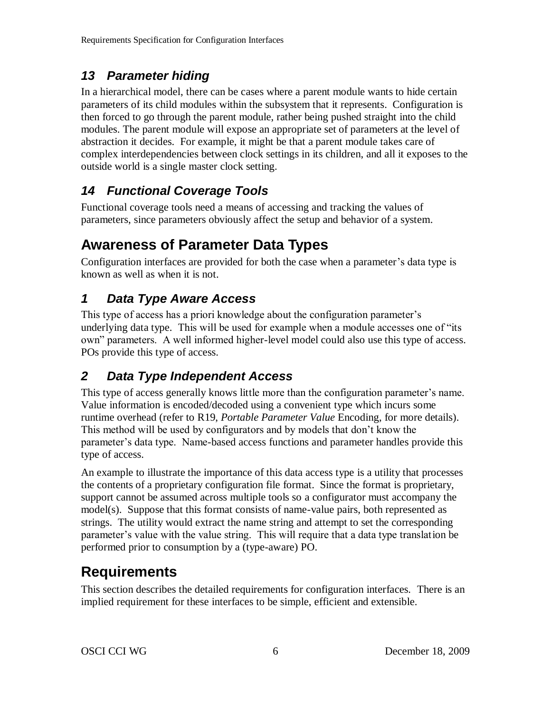### *13 Parameter hiding*

In a hierarchical model, there can be cases where a parent module wants to hide certain parameters of its child modules within the subsystem that it represents. Configuration is then forced to go through the parent module, rather being pushed straight into the child modules. The parent module will expose an appropriate set of parameters at the level of abstraction it decides. For example, it might be that a parent module takes care of complex interdependencies between clock settings in its children, and all it exposes to the outside world is a single master clock setting.

### *14 Functional Coverage Tools*

Functional coverage tools need a means of accessing and tracking the values of parameters, since parameters obviously affect the setup and behavior of a system.

## **Awareness of Parameter Data Types**

Configuration interfaces are provided for both the case when a parameter's data type is known as well as when it is not.

### *1 Data Type Aware Access*

This type of access has a priori knowledge about the configuration parameter's underlying data type. This will be used for example when a module accesses one of "its own" parameters. A well informed higher-level model could also use this type of access. POs provide this type of access.

## *2 Data Type Independent Access*

This type of access generally knows little more than the configuration parameter's name. Value information is encoded/decoded using a convenient type which incurs some runtime overhead (refer to [R19,](#page-13-0) *[Portable Parameter Value](#page-13-0)* Encoding, for more details). This method will be used by configurators and by models that don't know the parameter's data type. Name-based access functions and parameter handles provide this type of access.

An example to illustrate the importance of this data access type is a utility that processes the contents of a proprietary configuration file format. Since the format is proprietary, support cannot be assumed across multiple tools so a configurator must accompany the model(s). Suppose that this format consists of name-value pairs, both represented as strings. The utility would extract the name string and attempt to set the corresponding parameter's value with the value string. This will require that a data type translation be performed prior to consumption by a (type-aware) PO.

# **Requirements**

This section describes the detailed requirements for configuration interfaces. There is an implied requirement for these interfaces to be simple, efficient and extensible.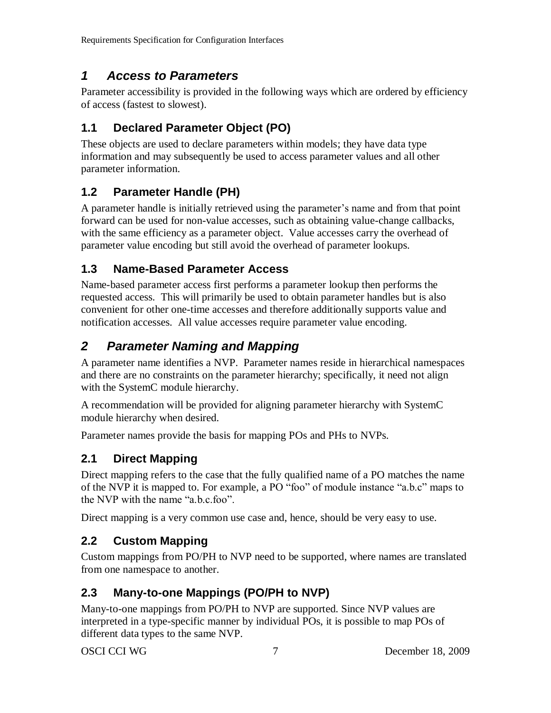#### *1 Access to Parameters*

Parameter accessibility is provided in the following ways which are ordered by efficiency of access (fastest to slowest).

#### **1.1 Declared Parameter Object (PO)**

These objects are used to declare parameters within models; they have data type information and may subsequently be used to access parameter values and all other parameter information.

#### **1.2 Parameter Handle (PH)**

A parameter handle is initially retrieved using the parameter's name and from that point forward can be used for non-value accesses, such as obtaining value-change callbacks, with the same efficiency as a parameter object. Value accesses carry the overhead of parameter value encoding but still avoid the overhead of parameter lookups.

#### **1.3 Name-Based Parameter Access**

Name-based parameter access first performs a parameter lookup then performs the requested access. This will primarily be used to obtain parameter handles but is also convenient for other one-time accesses and therefore additionally supports value and notification accesses. All value accesses require parameter value encoding.

### *2 Parameter Naming and Mapping*

A parameter name identifies a NVP. Parameter names reside in hierarchical namespaces and there are no constraints on the parameter hierarchy; specifically, it need not align with the SystemC module hierarchy.

A recommendation will be provided for aligning parameter hierarchy with SystemC module hierarchy when desired.

Parameter names provide the basis for mapping POs and PHs to NVPs.

#### **2.1 Direct Mapping**

Direct mapping refers to the case that the fully qualified name of a PO matches the name of the NVP it is mapped to. For example, a PO "foo" of module instance "a.b.c" maps to the NVP with the name "a.b.c.foo".

Direct mapping is a very common use case and, hence, should be very easy to use.

#### **2.2 Custom Mapping**

Custom mappings from PO/PH to NVP need to be supported, where names are translated from one namespace to another.

#### **2.3 Many-to-one Mappings (PO/PH to NVP)**

Many-to-one mappings from PO/PH to NVP are supported. Since NVP values are interpreted in a type-specific manner by individual POs, it is possible to map POs of different data types to the same NVP.

OSCI CCI WG 7 December 18, 2009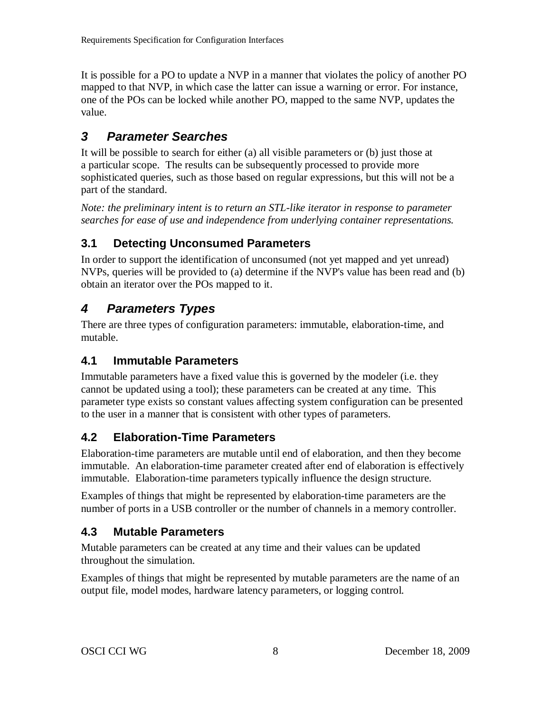It is possible for a PO to update a NVP in a manner that violates the policy of another PO mapped to that NVP, in which case the latter can issue a warning or error. For instance, one of the POs can be locked while another PO, mapped to the same NVP, updates the value.

#### *3 Parameter Searches*

It will be possible to search for either (a) all visible parameters or (b) just those at a particular scope. The results can be subsequently processed to provide more sophisticated queries, such as those based on regular expressions, but this will not be a part of the standard.

*Note: the preliminary intent is to return an STL-like iterator in response to parameter searches for ease of use and independence from underlying container representations.*

#### **3.1 Detecting Unconsumed Parameters**

In order to support the identification of unconsumed (not yet mapped and yet unread) NVPs, queries will be provided to (a) determine if the NVP's value has been read and (b) obtain an iterator over the POs mapped to it.

#### *4 Parameters Types*

There are three types of configuration parameters: immutable, elaboration-time, and mutable.

#### **4.1 Immutable Parameters**

Immutable parameters have a fixed value this is governed by the modeler (i.e. they cannot be updated using a tool); these parameters can be created at any time. This parameter type exists so constant values affecting system configuration can be presented to the user in a manner that is consistent with other types of parameters.

#### **4.2 Elaboration-Time Parameters**

Elaboration-time parameters are mutable until end of elaboration, and then they become immutable. An elaboration-time parameter created after end of elaboration is effectively immutable. Elaboration-time parameters typically influence the design structure.

Examples of things that might be represented by elaboration-time parameters are the number of ports in a USB controller or the number of channels in a memory controller.

#### **4.3 Mutable Parameters**

Mutable parameters can be created at any time and their values can be updated throughout the simulation.

Examples of things that might be represented by mutable parameters are the name of an output file, model modes, hardware latency parameters, or logging control.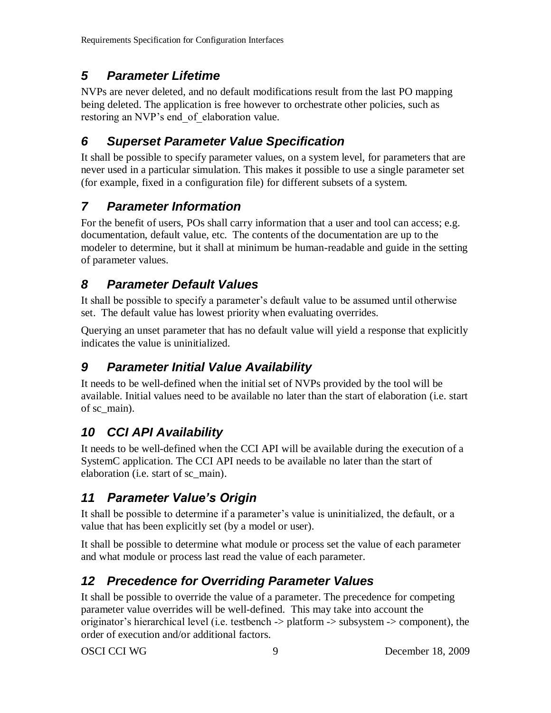#### *5 Parameter Lifetime*

NVPs are never deleted, and no default modifications result from the last PO mapping being deleted. The application is free however to orchestrate other policies, such as restoring an NVP's end of elaboration value.

#### *6 Superset Parameter Value Specification*

It shall be possible to specify parameter values, on a system level, for parameters that are never used in a particular simulation. This makes it possible to use a single parameter set (for example, fixed in a configuration file) for different subsets of a system.

### *7 Parameter Information*

For the benefit of users, POs shall carry information that a user and tool can access; e.g. documentation, default value, etc. The contents of the documentation are up to the modeler to determine, but it shall at minimum be human-readable and guide in the setting of parameter values.

#### *8 Parameter Default Values*

It shall be possible to specify a parameter's default value to be assumed until otherwise set. The default value has lowest priority when evaluating overrides.

Querying an unset parameter that has no default value will yield a response that explicitly indicates the value is uninitialized.

### *9 Parameter Initial Value Availability*

It needs to be well-defined when the initial set of NVPs provided by the tool will be available. Initial values need to be available no later than the start of elaboration (i.e. start of sc\_main).

### *10 CCI API Availability*

It needs to be well-defined when the CCI API will be available during the execution of a SystemC application. The CCI API needs to be available no later than the start of elaboration (i.e. start of sc\_main).

### *11 Parameter Value's Origin*

It shall be possible to determine if a parameter's value is uninitialized, the default, or a value that has been explicitly set (by a model or user).

It shall be possible to determine what module or process set the value of each parameter and what module or process last read the value of each parameter.

#### *12 Precedence for Overriding Parameter Values*

It shall be possible to override the value of a parameter. The precedence for competing parameter value overrides will be well-defined. This may take into account the originator's hierarchical level (i.e. testbench -> platform -> subsystem -> component), the order of execution and/or additional factors.

OSCI CCI WG 9 December 18, 2009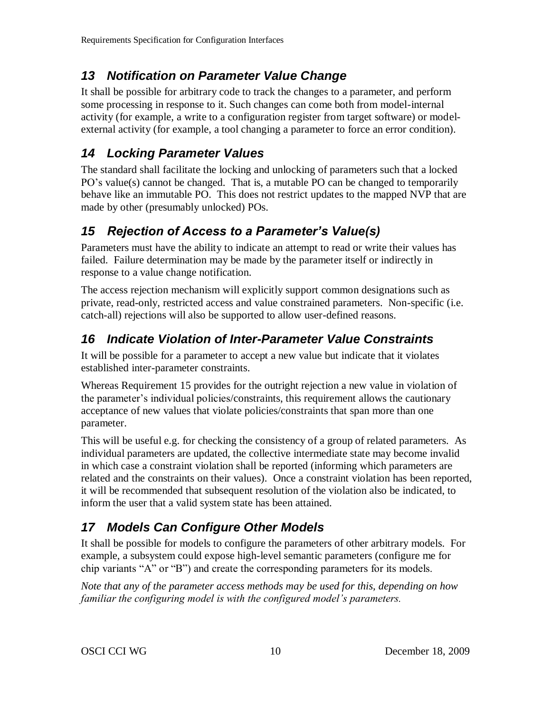### *13 Notification on Parameter Value Change*

It shall be possible for arbitrary code to track the changes to a parameter, and perform some processing in response to it. Such changes can come both from model-internal activity (for example, a write to a configuration register from target software) or modelexternal activity (for example, a tool changing a parameter to force an error condition).

#### *14 Locking Parameter Values*

The standard shall facilitate the locking and unlocking of parameters such that a locked PO's value(s) cannot be changed. That is, a mutable PO can be changed to temporarily behave like an immutable PO. This does not restrict updates to the mapped NVP that are made by other (presumably unlocked) POs.

### <span id="page-12-0"></span>*15 Rejection of Access to a Parameter's Value(s)*

Parameters must have the ability to indicate an attempt to read or write their values has failed. Failure determination may be made by the parameter itself or indirectly in response to a value change notification.

The access rejection mechanism will explicitly support common designations such as private, read-only, restricted access and value constrained parameters. Non-specific (i.e. catch-all) rejections will also be supported to allow user-defined reasons.

### *16 Indicate Violation of Inter-Parameter Value Constraints*

It will be possible for a parameter to accept a new value but indicate that it violates established inter-parameter constraints.

Whereas Requirement [15](#page-12-0) provides for the outright rejection a new value in violation of the parameter's individual policies/constraints, this requirement allows the cautionary acceptance of new values that violate policies/constraints that span more than one parameter.

This will be useful e.g. for checking the consistency of a group of related parameters. As individual parameters are updated, the collective intermediate state may become invalid in which case a constraint violation shall be reported (informing which parameters are related and the constraints on their values). Once a constraint violation has been reported, it will be recommended that subsequent resolution of the violation also be indicated, to inform the user that a valid system state has been attained.

## *17 Models Can Configure Other Models*

It shall be possible for models to configure the parameters of other arbitrary models. For example, a subsystem could expose high-level semantic parameters (configure me for chip variants "A" or "B") and create the corresponding parameters for its models.

*Note that any of the parameter access methods may be used for this, depending on how familiar the configuring model is with the configured model's parameters.*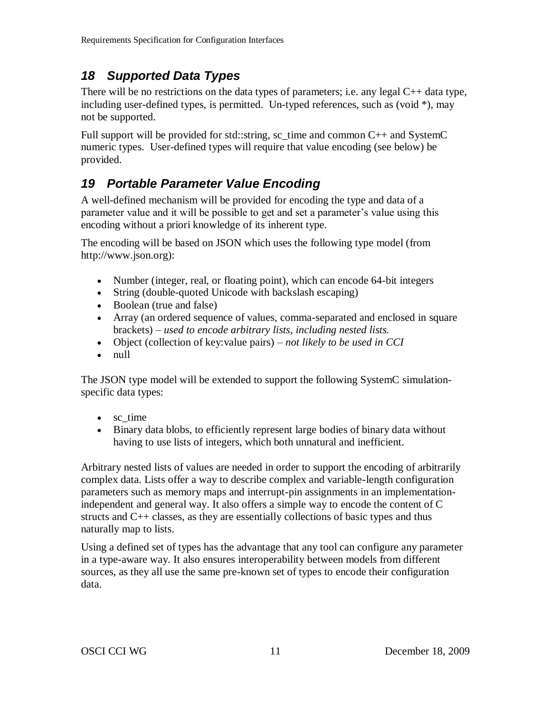#### *18 Supported Data Types*

There will be no restrictions on the data types of parameters; i.e. any legal C++ data type, including user-defined types, is permitted. Un-typed references, such as (void  $*$ ), may not be supported.

Full support will be provided for std::string, sc\_time and common  $C_{++}$  and SystemC numeric types. User-defined types will require that value encoding (see below) be provided.

### <span id="page-13-0"></span>*19 Portable Parameter Value Encoding*

A well-defined mechanism will be provided for encoding the type and data of a parameter value and it will be possible to get and set a parameter's value using this encoding without a priori knowledge of its inherent type.

The encoding will be based on JSON which uses the following type model (from http://www.json.org):

- Number (integer, real, or [floating point\)](http://en.wikipedia.org/wiki/Floating_point), which can encode 64-bit integers
- [String](http://en.wikipedia.org/wiki/String_%28computer_science%29) (double-quoted [Unicode](http://en.wikipedia.org/wiki/Unicode) with backslash [escaping\)](http://en.wikipedia.org/wiki/Escape_character)
- [Boolean](http://en.wikipedia.org/wiki/Boolean_datatype) (true and false)
- [Array](http://en.wikipedia.org/wiki/Array_data_structure) (an ordered sequence of values, comma-separated and enclosed in [square](http://en.wikipedia.org/wiki/Square_bracket)  [brackets\)](http://en.wikipedia.org/wiki/Square_bracket) *– used to encode arbitrary lists, including nested lists.*
- [Object](http://en.wikipedia.org/wiki/Associative_array) (collection of key:value pairs) *– not likely to be used in CCI*
- [null](http://en.wikipedia.org/wiki/Null_%28computer_programming%29)

The JSON type model will be extended to support the following SystemC simulationspecific data types:

- [sc\\_time](http://en.wikipedia.org/wiki/Null_%28computer_programming%29)
- Binary data blobs, to efficiently represent large bodies of binary data without having to use lists of integers, which both unnatural and inefficient.

Arbitrary nested lists of values are needed in order to support the encoding of arbitrarily complex data. Lists offer a way to describe complex and variable-length configuration parameters such as memory maps and interrupt-pin assignments in an implementationindependent and general way. It also offers a simple way to encode the content of C structs and C++ classes, as they are essentially collections of basic types and thus naturally map to lists.

Using a defined set of types has the advantage that any tool can configure any parameter in a type-aware way. It also ensures interoperability between models from different sources, as they all use the same pre-known set of types to encode their configuration data.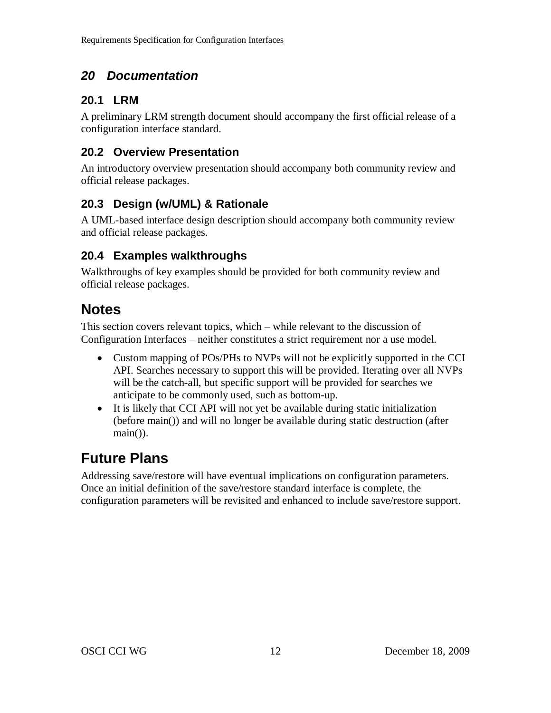### *20 Documentation*

#### **20.1 LRM**

A preliminary LRM strength document should accompany the first official release of a configuration interface standard.

#### **20.2 Overview Presentation**

An introductory overview presentation should accompany both community review and official release packages.

#### **20.3 Design (w/UML) & Rationale**

A UML-based interface design description should accompany both community review and official release packages.

#### **20.4 Examples walkthroughs**

Walkthroughs of key examples should be provided for both community review and official release packages.

### **Notes**

This section covers relevant topics, which – while relevant to the discussion of Configuration Interfaces – neither constitutes a strict requirement nor a use model.

- Custom mapping of POs/PHs to NVPs will not be explicitly supported in the CCI API. Searches necessary to support this will be provided. Iterating over all NVPs will be the catch-all, but specific support will be provided for searches we anticipate to be commonly used, such as bottom-up.
- It is likely that CCI API will not yet be available during static initialization (before main()) and will no longer be available during static destruction (after main()).

## **Future Plans**

Addressing save/restore will have eventual implications on configuration parameters. Once an initial definition of the save/restore standard interface is complete, the configuration parameters will be revisited and enhanced to include save/restore support.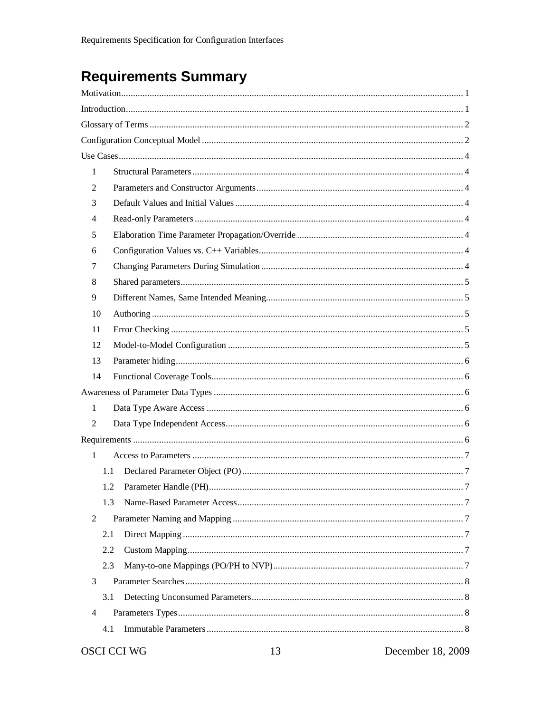# **Requirements Summary**

| 1              |     |                                            |  |
|----------------|-----|--------------------------------------------|--|
| 2              |     |                                            |  |
| 3              |     |                                            |  |
| 4              |     |                                            |  |
| 5              |     |                                            |  |
| 6              |     |                                            |  |
| 7              |     |                                            |  |
| 8              |     |                                            |  |
| 9              |     |                                            |  |
| 10             |     |                                            |  |
| 11             |     |                                            |  |
| 12             |     |                                            |  |
| 13             |     |                                            |  |
| 14             |     |                                            |  |
|                |     |                                            |  |
| 1              |     |                                            |  |
| $\overline{2}$ |     |                                            |  |
|                |     |                                            |  |
| $\mathbf{1}$   |     |                                            |  |
|                | 1.1 |                                            |  |
|                | 1.2 |                                            |  |
|                | 1.3 |                                            |  |
| 2              |     |                                            |  |
|                | 2.1 |                                            |  |
|                | 2.2 |                                            |  |
|                | 2.3 |                                            |  |
| 3              |     |                                            |  |
|                | 3.1 |                                            |  |
| $\overline{4}$ |     |                                            |  |
|                | 4.1 |                                            |  |
|                |     | December $10, 2000$<br>$OCM CO1 MO1$<br>12 |  |